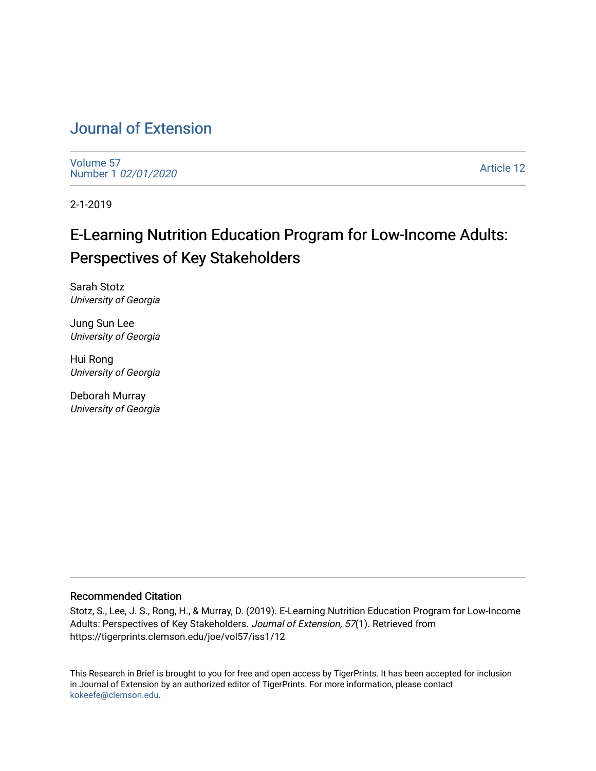# [Journal of Extension](https://tigerprints.clemson.edu/joe)

[Volume 57](https://tigerprints.clemson.edu/joe/vol57) [Number 1](https://tigerprints.clemson.edu/joe/vol57/iss1) 02/01/2020

[Article 12](https://tigerprints.clemson.edu/joe/vol57/iss1/12) 

2-1-2019

# E-Learning Nutrition Education Program for Low-Income Adults: Perspectives of Key Stakeholders

Sarah Stotz University of Georgia

Jung Sun Lee University of Georgia

Hui Rong University of Georgia

Deborah Murray University of Georgia

#### Recommended Citation

Stotz, S., Lee, J. S., Rong, H., & Murray, D. (2019). E-Learning Nutrition Education Program for Low-Income Adults: Perspectives of Key Stakeholders. Journal of Extension, 57(1). Retrieved from https://tigerprints.clemson.edu/joe/vol57/iss1/12

This Research in Brief is brought to you for free and open access by TigerPrints. It has been accepted for inclusion in Journal of Extension by an authorized editor of TigerPrints. For more information, please contact [kokeefe@clemson.edu](mailto:kokeefe@clemson.edu).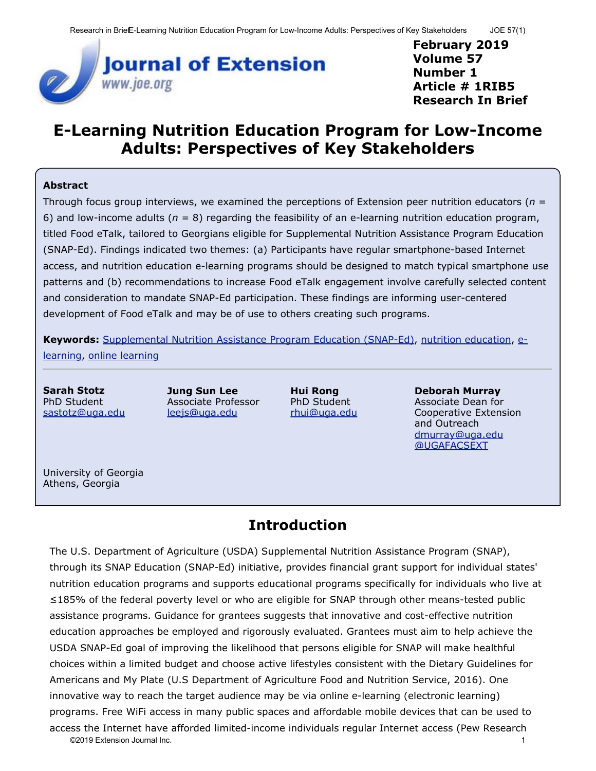

# **E-Learning Nutrition Education Program for Low-Income Adults: Perspectives of Key Stakeholders**

#### **Abstract**

Through focus group interviews, we examined the perceptions of Extension peer nutrition educators (*n* = 6) and low-income adults ( $n = 8$ ) regarding the feasibility of an e-learning nutrition education program, titled Food eTalk, tailored to Georgians eligible for Supplemental Nutrition Assistance Program Education (SNAP-Ed). Findings indicated two themes: (a) Participants have regular smartphone-based Internet access, and nutrition education e-learning programs should be designed to match typical smartphone use patterns and (b) recommendations to increase Food eTalk engagement involve carefully selected content and consideration to mandate SNAP-Ed participation. These findings are informing user-centered development of Food eTalk and may be of use to others creating such programs.

**Keywords:** [Supplemental Nutrition Assistance Program Education \(SNAP-Ed\)](https://joe.org/search-results.php?cx=010816128502272931564%3Aopgn_voyplk&cof=FORID%3A10&ie=UTF-8&q=Supplemental Nutrition Assistance Program Education (SNAP-Ed)&sa=Search+JOE#1039\), [nutrition education](https://joe.org/search-results.php?cx=010816128502272931564%3Aopgn_voyplk&cof=FORID%3A10&ie=UTF-8&q=nutrition education&sa=Search+JOE#1039\), [e](https://joe.org/search-results.php?cx=010816128502272931564%3Aopgn_voyplk&cof=FORID%3A10&ie=UTF-8&q=e-learning&sa=Search+JOE#1039\)[learning](https://joe.org/search-results.php?cx=010816128502272931564%3Aopgn_voyplk&cof=FORID%3A10&ie=UTF-8&q=e-learning&sa=Search+JOE#1039\), [online learning](https://joe.org/search-results.php?cx=010816128502272931564%3Aopgn_voyplk&cof=FORID%3A10&ie=UTF-8&q=online learning&sa=Search+JOE#1039)

**Sarah Stotz** PhD Student [sastotz@uga.edu](mailto:sastotz@uga.edu) **Jung Sun Lee** Associate Professor [leejs@uga.edu](mailto:leejs@uga.edu)

**Hui Rong** PhD Student [rhui@uga.edu](mailto:rhui@uga.edu)

**Deborah Murray** Associate Dean for Cooperative Extension and Outreach [dmurray@uga.edu](mailto:dmurray@uga.edu) [@UGAFACSEXT](https://twitter.com/UGAFACSEXT)

University of Georgia Athens, Georgia

## **Introduction**

The U.S. Department of Agriculture (USDA) Supplemental Nutrition Assistance Program (SNAP), through its SNAP Education (SNAP-Ed) initiative, provides financial grant support for individual states' nutrition education programs and supports educational programs specifically for individuals who live at ≤185% of the federal poverty level or who are eligible for SNAP through other means-tested public assistance programs. Guidance for grantees suggests that innovative and cost-effective nutrition education approaches be employed and rigorously evaluated. Grantees must aim to help achieve the USDA SNAP-Ed goal of improving the likelihood that persons eligible for SNAP will make healthful choices within a limited budget and choose active lifestyles consistent with the Dietary Guidelines for Americans and My Plate (U.S Department of Agriculture Food and Nutrition Service, 2016). One innovative way to reach the target audience may be via online e-learning (electronic learning) programs. Free WiFi access in many public spaces and affordable mobile devices that can be used to access the Internet have afforded limited-income individuals regular Internet access (Pew Research ©2019 Extension Journal Inc. 1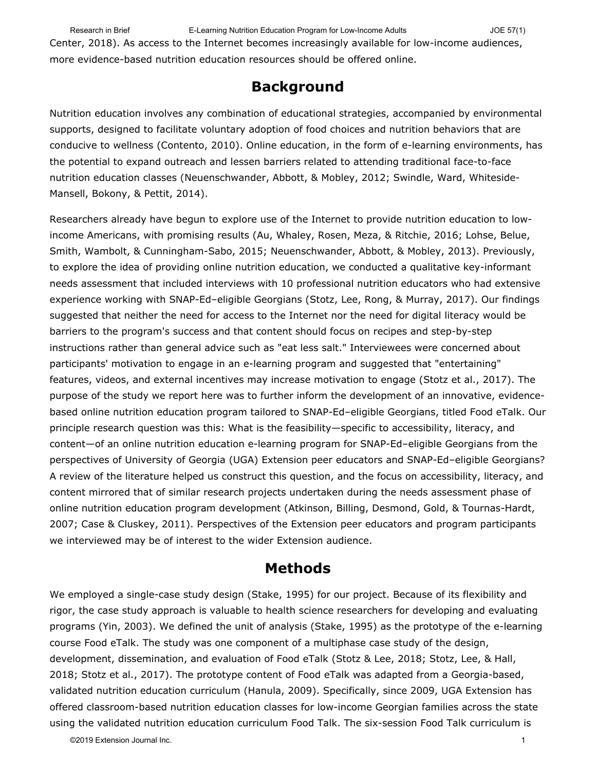Center, 2018). As access to the Internet becomes increasingly available for low-income audiences, more evidence-based nutrition education resources should be offered online. Research in Brief **E-Learning Nutrition Education Program for Low-Income Adults** JOE 57(1)

### **Background**

Nutrition education involves any combination of educational strategies, accompanied by environmental supports, designed to facilitate voluntary adoption of food choices and nutrition behaviors that are conducive to wellness (Contento, 2010). Online education, in the form of e-learning environments, has the potential to expand outreach and lessen barriers related to attending traditional face-to-face nutrition education classes (Neuenschwander, Abbott, & Mobley, 2012; Swindle, Ward, Whiteside-Mansell, Bokony, & Pettit, 2014).

Researchers already have begun to explore use of the Internet to provide nutrition education to lowincome Americans, with promising results (Au, Whaley, Rosen, Meza, & Ritchie, 2016; Lohse, Belue, Smith, Wambolt, & Cunningham-Sabo, 2015; Neuenschwander, Abbott, & Mobley, 2013). Previously, to explore the idea of providing online nutrition education, we conducted a qualitative key-informant needs assessment that included interviews with 10 professional nutrition educators who had extensive experience working with SNAP-Ed–eligible Georgians (Stotz, Lee, Rong, & Murray, 2017). Our findings suggested that neither the need for access to the Internet nor the need for digital literacy would be barriers to the program's success and that content should focus on recipes and step-by-step instructions rather than general advice such as "eat less salt." Interviewees were concerned about participants' motivation to engage in an e-learning program and suggested that "entertaining" features, videos, and external incentives may increase motivation to engage (Stotz et al., 2017). The purpose of the study we report here was to further inform the development of an innovative, evidencebased online nutrition education program tailored to SNAP-Ed–eligible Georgians, titled Food eTalk. Our principle research question was this: What is the feasibility—specific to accessibility, literacy, and content—of an online nutrition education e-learning program for SNAP-Ed–eligible Georgians from the perspectives of University of Georgia (UGA) Extension peer educators and SNAP-Ed–eligible Georgians? A review of the literature helped us construct this question, and the focus on accessibility, literacy, and content mirrored that of similar research projects undertaken during the needs assessment phase of online nutrition education program development (Atkinson, Billing, Desmond, Gold, & Tournas-Hardt, 2007; Case & Cluskey, 2011). Perspectives of the Extension peer educators and program participants we interviewed may be of interest to the wider Extension audience.

### **Methods**

We employed a single-case study design (Stake, 1995) for our project. Because of its flexibility and rigor, the case study approach is valuable to health science researchers for developing and evaluating programs (Yin, 2003). We defined the unit of analysis (Stake, 1995) as the prototype of the e-learning course Food eTalk. The study was one component of a multiphase case study of the design, development, dissemination, and evaluation of Food eTalk (Stotz & Lee, 2018; Stotz, Lee, & Hall, 2018; Stotz et al., 2017). The prototype content of Food eTalk was adapted from a Georgia-based, validated nutrition education curriculum (Hanula, 2009). Specifically, since 2009, UGA Extension has offered classroom-based nutrition education classes for low-income Georgian families across the state using the validated nutrition education curriculum Food Talk. The six-session Food Talk curriculum is

©2019 Extension Journal Inc. 1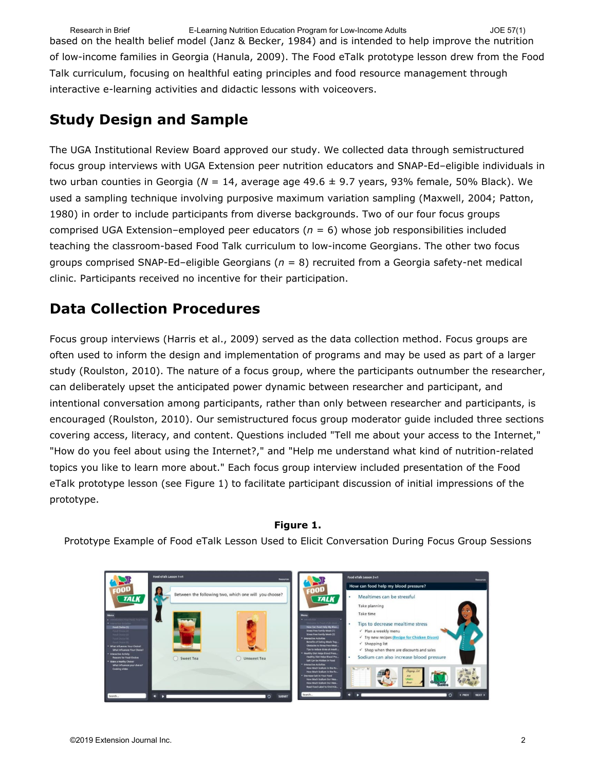based on the health belief model (Janz & Becker, 1984) and is intended to help improve the nutrition of low-income families in Georgia (Hanula, 2009). The Food eTalk prototype lesson drew from the Food Talk curriculum, focusing on healthful eating principles and food resource management through interactive e-learning activities and didactic lessons with voiceovers. Research in Brief **E-Learning Nutrition Education Program for Low-Income Adults** JOE 57(1)

# **Study Design and Sample**

The UGA Institutional Review Board approved our study. We collected data through semistructured focus group interviews with UGA Extension peer nutrition educators and SNAP-Ed–eligible individuals in two urban counties in Georgia (*N* = 14, average age 49.6 ± 9.7 years, 93% female, 50% Black). We used a sampling technique involving purposive maximum variation sampling (Maxwell, 2004; Patton, 1980) in order to include participants from diverse backgrounds. Two of our four focus groups comprised UGA Extension–employed peer educators (*n* = 6) whose job responsibilities included teaching the classroom-based Food Talk curriculum to low-income Georgians. The other two focus groups comprised SNAP-Ed–eligible Georgians (*n* = 8) recruited from a Georgia safety-net medical clinic. Participants received no incentive for their participation.

# **Data Collection Procedures**

Focus group interviews (Harris et al., 2009) served as the data collection method. Focus groups are often used to inform the design and implementation of programs and may be used as part of a larger study (Roulston, 2010). The nature of a focus group, where the participants outnumber the researcher, can deliberately upset the anticipated power dynamic between researcher and participant, and intentional conversation among participants, rather than only between researcher and participants, is encouraged (Roulston, 2010). Our semistructured focus group moderator guide included three sections covering access, literacy, and content. Questions included "Tell me about your access to the Internet," "How do you feel about using the Internet?," and "Help me understand what kind of nutrition-related topics you like to learn more about." Each focus group interview included presentation of the Food eTalk prototype lesson (see Figure 1) to facilitate participant discussion of initial impressions of the prototype.

#### **Figure 1.**

Prototype Example of Food eTalk Lesson Used to Elicit Conversation During Focus Group Sessions

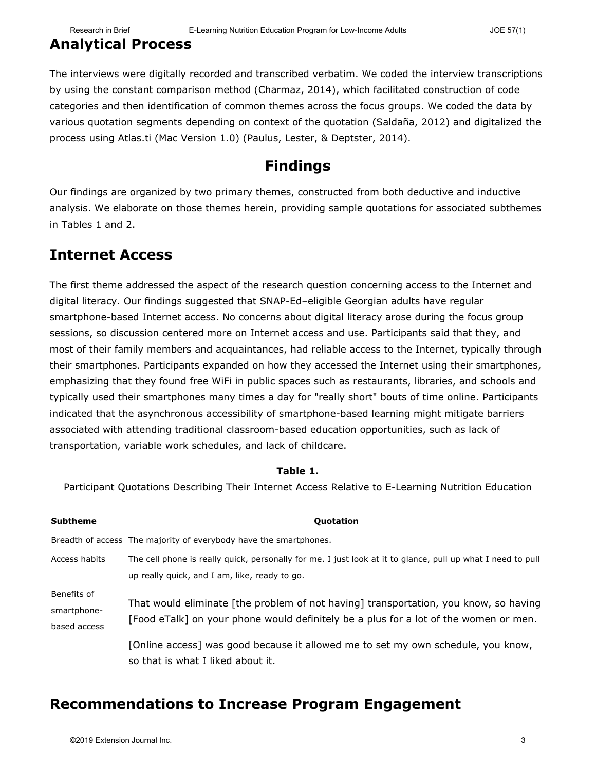### **Analytical Process**

The interviews were digitally recorded and transcribed verbatim. We coded the interview transcriptions by using the constant comparison method (Charmaz, 2014), which facilitated construction of code categories and then identification of common themes across the focus groups. We coded the data by various quotation segments depending on context of the quotation (Saldaña, 2012) and digitalized the process using Atlas.ti (Mac Version 1.0) (Paulus, Lester, & Deptster, 2014).

## **Findings**

Our findings are organized by two primary themes, constructed from both deductive and inductive analysis. We elaborate on those themes herein, providing sample quotations for associated subthemes in Tables 1 and 2.

### **Internet Access**

The first theme addressed the aspect of the research question concerning access to the Internet and digital literacy. Our findings suggested that SNAP-Ed–eligible Georgian adults have regular smartphone-based Internet access. No concerns about digital literacy arose during the focus group sessions, so discussion centered more on Internet access and use. Participants said that they, and most of their family members and acquaintances, had reliable access to the Internet, typically through their smartphones. Participants expanded on how they accessed the Internet using their smartphones, emphasizing that they found free WiFi in public spaces such as restaurants, libraries, and schools and typically used their smartphones many times a day for "really short" bouts of time online. Participants indicated that the asynchronous accessibility of smartphone-based learning might mitigate barriers associated with attending traditional classroom-based education opportunities, such as lack of transportation, variable work schedules, and lack of childcare.

#### **Table 1.**

Participant Quotations Describing Their Internet Access Relative to E-Learning Nutrition Education

| <b>Subtheme</b>                            | <b>Quotation</b>                                                                                                                                                             |
|--------------------------------------------|------------------------------------------------------------------------------------------------------------------------------------------------------------------------------|
|                                            | Breadth of access The majority of everybody have the smartphones.                                                                                                            |
| Access habits                              | The cell phone is really quick, personally for me. I just look at it to glance, pull up what I need to pull<br>up really quick, and I am, like, ready to go.                 |
| Benefits of<br>smartphone-<br>based access | That would eliminate [the problem of not having] transportation, you know, so having<br>[Food eTalk] on your phone would definitely be a plus for a lot of the women or men. |
|                                            | [Online access] was good because it allowed me to set my own schedule, you know,<br>so that is what I liked about it.                                                        |

## **Recommendations to Increase Program Engagement**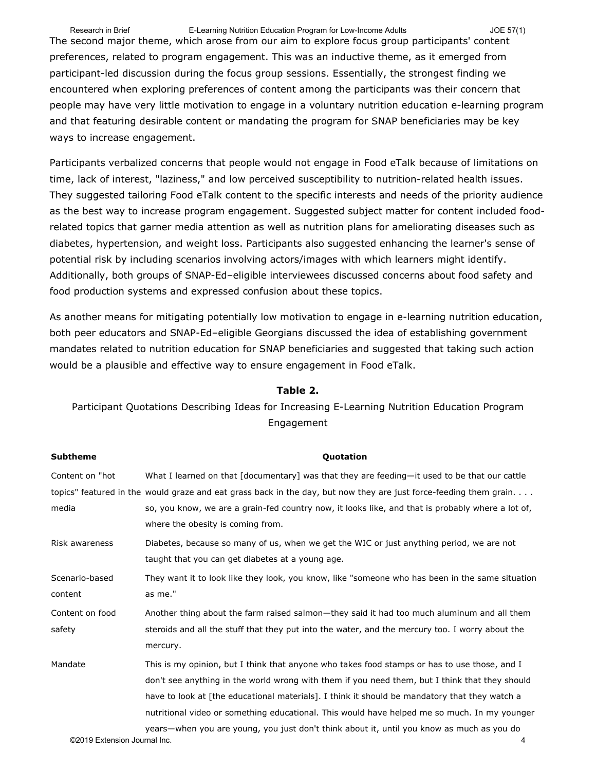The second major theme, which arose from our aim to explore focus group participants' content preferences, related to program engagement. This was an inductive theme, as it emerged from participant-led discussion during the focus group sessions. Essentially, the strongest finding we encountered when exploring preferences of content among the participants was their concern that people may have very little motivation to engage in a voluntary nutrition education e-learning program and that featuring desirable content or mandating the program for SNAP beneficiaries may be key ways to increase engagement. Research in Brief **E-Learning Nutrition Education Program for Low-Income Adults** JOE 57(1)

Participants verbalized concerns that people would not engage in Food eTalk because of limitations on time, lack of interest, "laziness," and low perceived susceptibility to nutrition-related health issues. They suggested tailoring Food eTalk content to the specific interests and needs of the priority audience as the best way to increase program engagement. Suggested subject matter for content included foodrelated topics that garner media attention as well as nutrition plans for ameliorating diseases such as diabetes, hypertension, and weight loss. Participants also suggested enhancing the learner's sense of potential risk by including scenarios involving actors/images with which learners might identify. Additionally, both groups of SNAP-Ed–eligible interviewees discussed concerns about food safety and food production systems and expressed confusion about these topics.

As another means for mitigating potentially low motivation to engage in e-learning nutrition education, both peer educators and SNAP-Ed–eligible Georgians discussed the idea of establishing government mandates related to nutrition education for SNAP beneficiaries and suggested that taking such action would be a plausible and effective way to ensure engagement in Food eTalk.

#### **Table 2.**

#### Participant Quotations Describing Ideas for Increasing E-Learning Nutrition Education Program Engagement

| Subtheme                     | Quotation                                                                                                         |
|------------------------------|-------------------------------------------------------------------------------------------------------------------|
| Content on "hot"             | What I learned on that [documentary] was that they are feeding-it used to be that our cattle                      |
|                              | topics" featured in the would graze and eat grass back in the day, but now they are just force-feeding them grain |
| media                        | so, you know, we are a grain-fed country now, it looks like, and that is probably where a lot of,                 |
|                              | where the obesity is coming from.                                                                                 |
| Risk awareness               | Diabetes, because so many of us, when we get the WIC or just anything period, we are not                          |
|                              | taught that you can get diabetes at a young age.                                                                  |
| Scenario-based               | They want it to look like they look, you know, like "someone who has been in the same situation                   |
| content                      | as me."                                                                                                           |
| Content on food              | Another thing about the farm raised salmon—they said it had too much aluminum and all them                        |
| safety                       | steroids and all the stuff that they put into the water, and the mercury too. I worry about the                   |
|                              | mercury.                                                                                                          |
| Mandate                      | This is my opinion, but I think that anyone who takes food stamps or has to use those, and I                      |
|                              | don't see anything in the world wrong with them if you need them, but I think that they should                    |
|                              | have to look at [the educational materials]. I think it should be mandatory that they watch a                     |
|                              | nutritional video or something educational. This would have helped me so much. In my younger                      |
|                              | years—when you are young, you just don't think about it, until you know as much as you do                         |
| ©2019 Extension Journal Inc. | 4                                                                                                                 |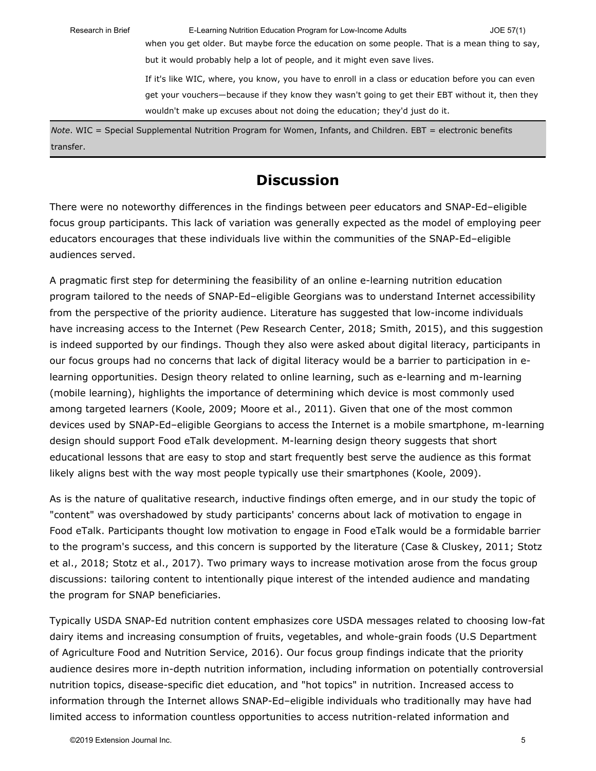Research in Brief **E-Learning Nutrition Education Program for Low-Income Adults** JOE 57(1)

when you get older. But maybe force the education on some people. That is a mean thing to say, but it would probably help a lot of people, and it might even save lives.

If it's like WIC, where, you know, you have to enroll in a class or education before you can even get your vouchers—because if they know they wasn't going to get their EBT without it, then they wouldn't make up excuses about not doing the education; they'd just do it.

*Note*. WIC = Special Supplemental Nutrition Program for Women, Infants, and Children. EBT = electronic benefits transfer.

## **Discussion**

There were no noteworthy differences in the findings between peer educators and SNAP-Ed–eligible focus group participants. This lack of variation was generally expected as the model of employing peer educators encourages that these individuals live within the communities of the SNAP-Ed–eligible audiences served.

A pragmatic first step for determining the feasibility of an online e-learning nutrition education program tailored to the needs of SNAP-Ed–eligible Georgians was to understand Internet accessibility from the perspective of the priority audience. Literature has suggested that low-income individuals have increasing access to the Internet (Pew Research Center, 2018; Smith, 2015), and this suggestion is indeed supported by our findings. Though they also were asked about digital literacy, participants in our focus groups had no concerns that lack of digital literacy would be a barrier to participation in elearning opportunities. Design theory related to online learning, such as e-learning and m-learning (mobile learning), highlights the importance of determining which device is most commonly used among targeted learners (Koole, 2009; Moore et al., 2011). Given that one of the most common devices used by SNAP-Ed–eligible Georgians to access the Internet is a mobile smartphone, m-learning design should support Food eTalk development. M-learning design theory suggests that short educational lessons that are easy to stop and start frequently best serve the audience as this format likely aligns best with the way most people typically use their smartphones (Koole, 2009).

As is the nature of qualitative research, inductive findings often emerge, and in our study the topic of "content" was overshadowed by study participants' concerns about lack of motivation to engage in Food eTalk. Participants thought low motivation to engage in Food eTalk would be a formidable barrier to the program's success, and this concern is supported by the literature (Case & Cluskey, 2011; Stotz et al., 2018; Stotz et al., 2017). Two primary ways to increase motivation arose from the focus group discussions: tailoring content to intentionally pique interest of the intended audience and mandating the program for SNAP beneficiaries.

Typically USDA SNAP-Ed nutrition content emphasizes core USDA messages related to choosing low-fat dairy items and increasing consumption of fruits, vegetables, and whole-grain foods (U.S Department of Agriculture Food and Nutrition Service, 2016). Our focus group findings indicate that the priority audience desires more in-depth nutrition information, including information on potentially controversial nutrition topics, disease-specific diet education, and "hot topics" in nutrition. Increased access to information through the Internet allows SNAP-Ed–eligible individuals who traditionally may have had limited access to information countless opportunities to access nutrition-related information and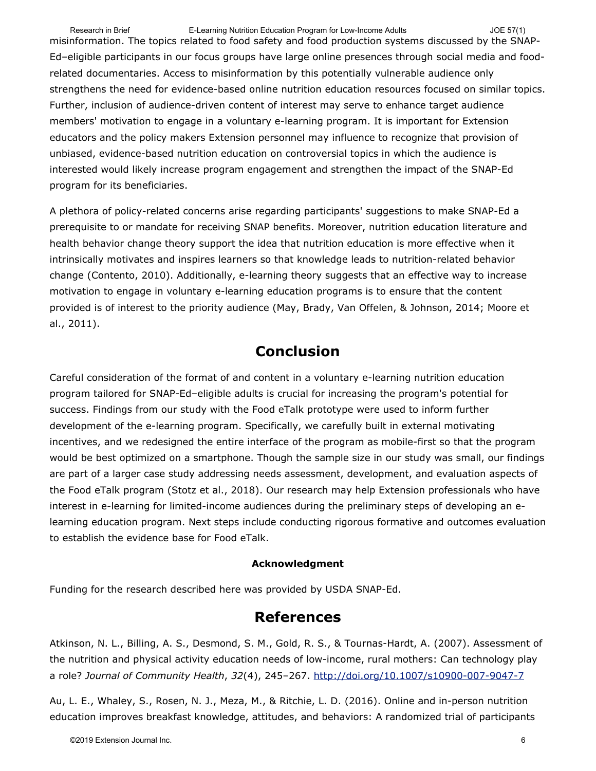misinformation. The topics related to food safety and food production systems discussed by the SNAP-Ed–eligible participants in our focus groups have large online presences through social media and foodrelated documentaries. Access to misinformation by this potentially vulnerable audience only strengthens the need for evidence-based online nutrition education resources focused on similar topics. Further, inclusion of audience-driven content of interest may serve to enhance target audience members' motivation to engage in a voluntary e-learning program. It is important for Extension educators and the policy makers Extension personnel may influence to recognize that provision of unbiased, evidence-based nutrition education on controversial topics in which the audience is interested would likely increase program engagement and strengthen the impact of the SNAP-Ed program for its beneficiaries. Research in Brief **E-Learning Nutrition Education Program for Low-Income Adults** JOE 57(1)

A plethora of policy-related concerns arise regarding participants' suggestions to make SNAP-Ed a prerequisite to or mandate for receiving SNAP benefits. Moreover, nutrition education literature and health behavior change theory support the idea that nutrition education is more effective when it intrinsically motivates and inspires learners so that knowledge leads to nutrition-related behavior change (Contento, 2010). Additionally, e-learning theory suggests that an effective way to increase motivation to engage in voluntary e-learning education programs is to ensure that the content provided is of interest to the priority audience (May, Brady, Van Offelen, & Johnson, 2014; Moore et al., 2011).

## **Conclusion**

Careful consideration of the format of and content in a voluntary e-learning nutrition education program tailored for SNAP-Ed–eligible adults is crucial for increasing the program's potential for success. Findings from our study with the Food eTalk prototype were used to inform further development of the e-learning program. Specifically, we carefully built in external motivating incentives, and we redesigned the entire interface of the program as mobile-first so that the program would be best optimized on a smartphone. Though the sample size in our study was small, our findings are part of a larger case study addressing needs assessment, development, and evaluation aspects of the Food eTalk program (Stotz et al., 2018). Our research may help Extension professionals who have interest in e-learning for limited-income audiences during the preliminary steps of developing an elearning education program. Next steps include conducting rigorous formative and outcomes evaluation to establish the evidence base for Food eTalk.

#### **Acknowledgment**

Funding for the research described here was provided by USDA SNAP-Ed.

## **References**

Atkinson, N. L., Billing, A. S., Desmond, S. M., Gold, R. S., & Tournas-Hardt, A. (2007). Assessment of the nutrition and physical activity education needs of low-income, rural mothers: Can technology play a role? *Journal of Community Health*, *32*(4), 245–267.<http://doi.org/10.1007/s10900-007-9047-7>

Au, L. E., Whaley, S., Rosen, N. J., Meza, M., & Ritchie, L. D. (2016). Online and in-person nutrition education improves breakfast knowledge, attitudes, and behaviors: A randomized trial of participants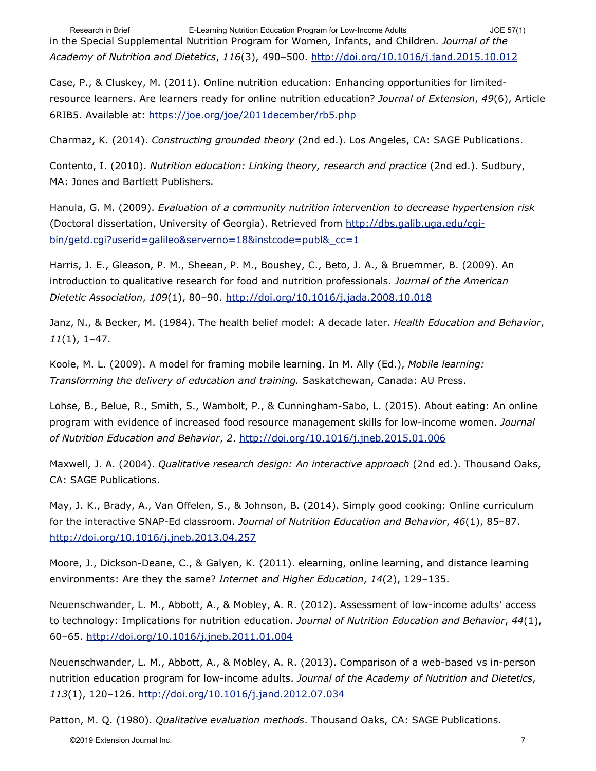in the Special Supplemental Nutrition Program for Women, Infants, and Children. *Journal of the Academy of Nutrition and Dietetics*, *116*(3), 490–500. <http://doi.org/10.1016/j.jand.2015.10.012> Research in Brief **E-Learning Nutrition Education Program for Low-Income Adults** JOE 57(1)

Case, P., & Cluskey, M. (2011). Online nutrition education: Enhancing opportunities for limitedresource learners. Are learners ready for online nutrition education? *Journal of Extension*, *49*(6), Article 6RIB5. Available at:<https://joe.org/joe/2011december/rb5.php>

Charmaz, K. (2014). *Constructing grounded theory* (2nd ed.). Los Angeles, CA: SAGE Publications.

Contento, I. (2010). *Nutrition education: Linking theory, research and practice* (2nd ed.). Sudbury, MA: Jones and Bartlett Publishers.

Hanula, G. M. (2009). *Evaluation of a community nutrition intervention to decrease hypertension risk* (Doctoral dissertation, University of Georgia). Retrieved from [http://dbs.galib.uga.edu/cgi](http://dbs.galib.uga.edu/cgi-bin/getd.cgi?userid=galileo&serverno=18&instcode=publ&_cc=1)[bin/getd.cgi?userid=galileo&serverno=18&instcode=publ&\\_cc=1](http://dbs.galib.uga.edu/cgi-bin/getd.cgi?userid=galileo&serverno=18&instcode=publ&_cc=1)

Harris, J. E., Gleason, P. M., Sheean, P. M., Boushey, C., Beto, J. A., & Bruemmer, B. (2009). An introduction to qualitative research for food and nutrition professionals. *Journal of the American Dietetic Association*, *109*(1), 80–90.<http://doi.org/10.1016/j.jada.2008.10.018>

Janz, N., & Becker, M. (1984). The health belief model: A decade later. *Health Education and Behavior*, *11*(1), 1–47.

Koole, M. L. (2009). A model for framing mobile learning. In M. Ally (Ed.), *Mobile learning: Transforming the delivery of education and training.* Saskatchewan, Canada: AU Press.

Lohse, B., Belue, R., Smith, S., Wambolt, P., & Cunningham-Sabo, L. (2015). About eating: An online program with evidence of increased food resource management skills for low-income women. *Journal of Nutrition Education and Behavior*, *2*. <http://doi.org/10.1016/j.jneb.2015.01.006>

Maxwell, J. A. (2004). *Qualitative research design: An interactive approach* (2nd ed.). Thousand Oaks, CA: SAGE Publications.

May, J. K., Brady, A., Van Offelen, S., & Johnson, B. (2014). Simply good cooking: Online curriculum for the interactive SNAP-Ed classroom. *Journal of Nutrition Education and Behavior*, *46*(1), 85–87. <http://doi.org/10.1016/j.jneb.2013.04.257>

Moore, J., Dickson-Deane, C., & Galyen, K. (2011). elearning, online learning, and distance learning environments: Are they the same? *Internet and Higher Education*, *14*(2), 129–135.

Neuenschwander, L. M., Abbott, A., & Mobley, A. R. (2012). Assessment of low-income adults' access to technology: Implications for nutrition education. *Journal of Nutrition Education and Behavior*, *44*(1), 60–65. <http://doi.org/10.1016/j.jneb.2011.01.004>

Neuenschwander, L. M., Abbott, A., & Mobley, A. R. (2013). Comparison of a web-based vs in-person nutrition education program for low-income adults. *Journal of the Academy of Nutrition and Dietetics*, *113*(1), 120–126.<http://doi.org/10.1016/j.jand.2012.07.034>

Patton, M. Q. (1980). *Qualitative evaluation methods*. Thousand Oaks, CA: SAGE Publications.